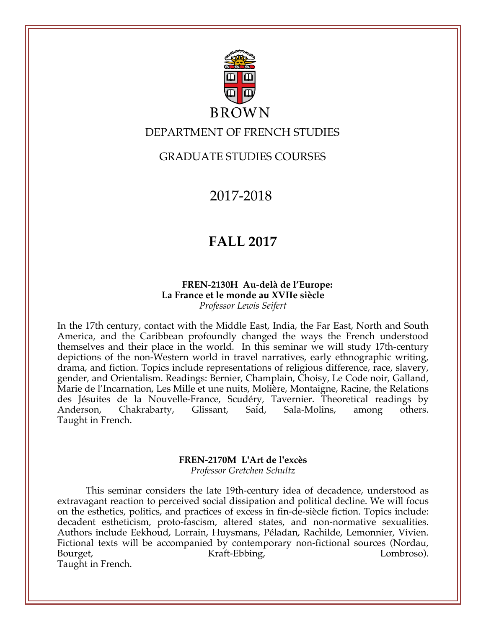

# **BROWN**

## DEPARTMENT OF FRENCH STUDIES

## GRADUATE STUDIES COURSES

2017-2018

# **FALL 2017**

### **FREN-2130H Au-delà de l'Europe: La France et le monde au XVIIe siècle** *Professor Lewis Seifert*

In the 17th century, contact with the Middle East, India, the Far East, North and South America, and the Caribbean profoundly changed the ways the French understood themselves and their place in the world. In this seminar we will study 17th-century depictions of the non-Western world in travel narratives, early ethnographic writing, drama, and fiction. Topics include representations of religious difference, race, slavery, gender, and Orientalism. Readings: Bernier, Champlain, Choisy, Le Code noir, Galland, Marie de l'Incarnation, Les Mille et une nuits, Molière, Montaigne, Racine, the Relations des Jésuites de la Nouvelle-France, Scudéry, Tavernier. Theoretical readings by Anderson, Chakrabarty, Glissant, Said, Sala-Molins, among others. Taught in French.

## **FREN-2170M L'Art de l'excès** *Professor Gretchen Schultz*

This seminar considers the late 19th-century idea of decadence, understood as extravagant reaction to perceived social dissipation and political decline. We will focus on the esthetics, politics, and practices of excess in fin-de-siècle fiction. Topics include: decadent estheticism, proto-fascism, altered states, and non-normative sexualities. Authors include Eekhoud, Lorrain, Huysmans, Péladan, Rachilde, Lemonnier, Vivien. Fictional texts will be accompanied by contemporary non-fictional sources (Nordau, Bourget, Europe Example Straft-Ebbing, Europe Lombroso). Taught in French.